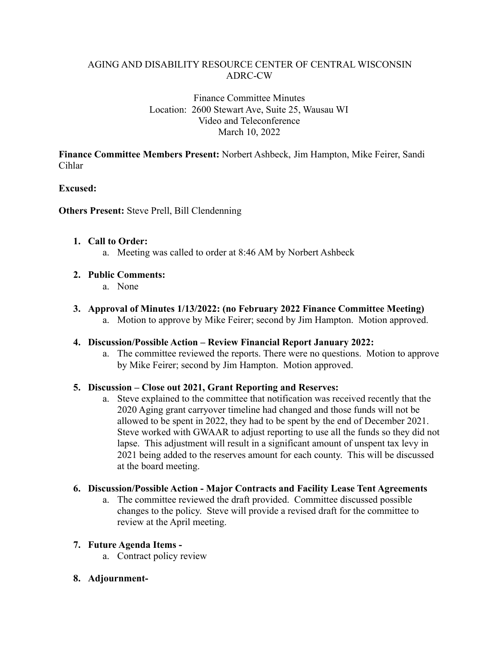### AGING AND DISABILITY RESOURCE CENTER OF CENTRAL WISCONSIN ADRC-CW

#### Finance Committee Minutes Location: 2600 Stewart Ave, Suite 25, Wausau WI Video and Teleconference March 10, 2022

**Finance Committee Members Present:** Norbert Ashbeck, Jim Hampton, Mike Feirer, Sandi Cihlar

### **Excused:**

**Others Present:** Steve Prell, Bill Clendenning

### **1. Call to Order:**

a. Meeting was called to order at 8:46 AM by Norbert Ashbeck

## **2. Public Comments:**

- a. None
- **3. Approval of Minutes 1/13/2022: (no February 2022 Finance Committee Meeting)**
	- a. Motion to approve by Mike Feirer; second by Jim Hampton. Motion approved.

### **4. Discussion/Possible Action – Review Financial Report January 2022:**

a. The committee reviewed the reports. There were no questions. Motion to approve by Mike Feirer; second by Jim Hampton. Motion approved.

# **5. Discussion – Close out 2021, Grant Reporting and Reserves:**

a. Steve explained to the committee that notification was received recently that the 2020 Aging grant carryover timeline had changed and those funds will not be allowed to be spent in 2022, they had to be spent by the end of December 2021. Steve worked with GWAAR to adjust reporting to use all the funds so they did not lapse. This adjustment will result in a significant amount of unspent tax levy in 2021 being added to the reserves amount for each county. This will be discussed at the board meeting.

### **6. Discussion/Possible Action - Major Contracts and Facility Lease Tent Agreements**

a. The committee reviewed the draft provided. Committee discussed possible changes to the policy. Steve will provide a revised draft for the committee to review at the April meeting.

### **7. Future Agenda Items -**

- a. Contract policy review
- **8. Adjournment-**